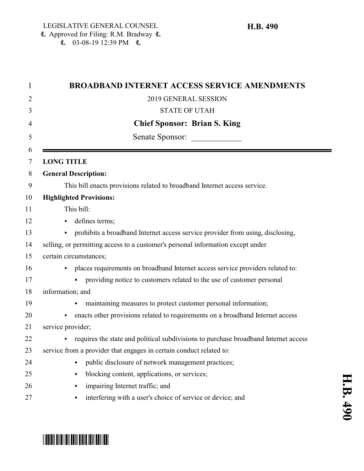| 2019 GENERAL SESSION<br><b>STATE OF UTAH</b><br><b>Chief Sponsor: Brian S. King</b><br>Senate Sponsor:<br><b>LONG TITLE</b><br><b>General Description:</b><br>This bill enacts provisions related to broadband Internet access service.<br><b>Highlighted Provisions:</b><br>This bill:<br>defines terms;<br>Þ.<br>• prohibits a broadband Internet access service provider from using, disclosing,<br>selling, or permitting access to a customer's personal information except under<br>certain circumstances;<br>places requirements on broadband Internet access service providers related to:<br>providing notice to customers related to the use of customer personal<br>information; and<br>maintaining measures to protect customer personal information;<br>enacts other provisions related to requirements on a broadband Internet access<br>service provider;<br>requires the state and political subdivisions to purchase broadband Internet access<br>service from a provider that engages in certain conduct related to:<br>public disclosure of network management practices;<br>$\bullet$<br>blocking content, applications, or services;<br>٠<br>impairing Internet traffic; and<br>$\bullet$<br>interfering with a user's choice of service or device; and | <b>BROADBAND INTERNET ACCESS SERVICE AMENDMENTS</b> |
|------------------------------------------------------------------------------------------------------------------------------------------------------------------------------------------------------------------------------------------------------------------------------------------------------------------------------------------------------------------------------------------------------------------------------------------------------------------------------------------------------------------------------------------------------------------------------------------------------------------------------------------------------------------------------------------------------------------------------------------------------------------------------------------------------------------------------------------------------------------------------------------------------------------------------------------------------------------------------------------------------------------------------------------------------------------------------------------------------------------------------------------------------------------------------------------------------------------------------------------------------------------------------|-----------------------------------------------------|
|                                                                                                                                                                                                                                                                                                                                                                                                                                                                                                                                                                                                                                                                                                                                                                                                                                                                                                                                                                                                                                                                                                                                                                                                                                                                              |                                                     |
|                                                                                                                                                                                                                                                                                                                                                                                                                                                                                                                                                                                                                                                                                                                                                                                                                                                                                                                                                                                                                                                                                                                                                                                                                                                                              |                                                     |
|                                                                                                                                                                                                                                                                                                                                                                                                                                                                                                                                                                                                                                                                                                                                                                                                                                                                                                                                                                                                                                                                                                                                                                                                                                                                              |                                                     |
|                                                                                                                                                                                                                                                                                                                                                                                                                                                                                                                                                                                                                                                                                                                                                                                                                                                                                                                                                                                                                                                                                                                                                                                                                                                                              |                                                     |
|                                                                                                                                                                                                                                                                                                                                                                                                                                                                                                                                                                                                                                                                                                                                                                                                                                                                                                                                                                                                                                                                                                                                                                                                                                                                              |                                                     |
|                                                                                                                                                                                                                                                                                                                                                                                                                                                                                                                                                                                                                                                                                                                                                                                                                                                                                                                                                                                                                                                                                                                                                                                                                                                                              |                                                     |
|                                                                                                                                                                                                                                                                                                                                                                                                                                                                                                                                                                                                                                                                                                                                                                                                                                                                                                                                                                                                                                                                                                                                                                                                                                                                              |                                                     |
|                                                                                                                                                                                                                                                                                                                                                                                                                                                                                                                                                                                                                                                                                                                                                                                                                                                                                                                                                                                                                                                                                                                                                                                                                                                                              |                                                     |
|                                                                                                                                                                                                                                                                                                                                                                                                                                                                                                                                                                                                                                                                                                                                                                                                                                                                                                                                                                                                                                                                                                                                                                                                                                                                              |                                                     |
|                                                                                                                                                                                                                                                                                                                                                                                                                                                                                                                                                                                                                                                                                                                                                                                                                                                                                                                                                                                                                                                                                                                                                                                                                                                                              |                                                     |
|                                                                                                                                                                                                                                                                                                                                                                                                                                                                                                                                                                                                                                                                                                                                                                                                                                                                                                                                                                                                                                                                                                                                                                                                                                                                              |                                                     |
|                                                                                                                                                                                                                                                                                                                                                                                                                                                                                                                                                                                                                                                                                                                                                                                                                                                                                                                                                                                                                                                                                                                                                                                                                                                                              |                                                     |
|                                                                                                                                                                                                                                                                                                                                                                                                                                                                                                                                                                                                                                                                                                                                                                                                                                                                                                                                                                                                                                                                                                                                                                                                                                                                              |                                                     |
|                                                                                                                                                                                                                                                                                                                                                                                                                                                                                                                                                                                                                                                                                                                                                                                                                                                                                                                                                                                                                                                                                                                                                                                                                                                                              |                                                     |
|                                                                                                                                                                                                                                                                                                                                                                                                                                                                                                                                                                                                                                                                                                                                                                                                                                                                                                                                                                                                                                                                                                                                                                                                                                                                              |                                                     |
|                                                                                                                                                                                                                                                                                                                                                                                                                                                                                                                                                                                                                                                                                                                                                                                                                                                                                                                                                                                                                                                                                                                                                                                                                                                                              |                                                     |
|                                                                                                                                                                                                                                                                                                                                                                                                                                                                                                                                                                                                                                                                                                                                                                                                                                                                                                                                                                                                                                                                                                                                                                                                                                                                              |                                                     |
|                                                                                                                                                                                                                                                                                                                                                                                                                                                                                                                                                                                                                                                                                                                                                                                                                                                                                                                                                                                                                                                                                                                                                                                                                                                                              |                                                     |
|                                                                                                                                                                                                                                                                                                                                                                                                                                                                                                                                                                                                                                                                                                                                                                                                                                                                                                                                                                                                                                                                                                                                                                                                                                                                              |                                                     |
|                                                                                                                                                                                                                                                                                                                                                                                                                                                                                                                                                                                                                                                                                                                                                                                                                                                                                                                                                                                                                                                                                                                                                                                                                                                                              |                                                     |
|                                                                                                                                                                                                                                                                                                                                                                                                                                                                                                                                                                                                                                                                                                                                                                                                                                                                                                                                                                                                                                                                                                                                                                                                                                                                              |                                                     |
|                                                                                                                                                                                                                                                                                                                                                                                                                                                                                                                                                                                                                                                                                                                                                                                                                                                                                                                                                                                                                                                                                                                                                                                                                                                                              |                                                     |
|                                                                                                                                                                                                                                                                                                                                                                                                                                                                                                                                                                                                                                                                                                                                                                                                                                                                                                                                                                                                                                                                                                                                                                                                                                                                              |                                                     |
|                                                                                                                                                                                                                                                                                                                                                                                                                                                                                                                                                                                                                                                                                                                                                                                                                                                                                                                                                                                                                                                                                                                                                                                                                                                                              |                                                     |
|                                                                                                                                                                                                                                                                                                                                                                                                                                                                                                                                                                                                                                                                                                                                                                                                                                                                                                                                                                                                                                                                                                                                                                                                                                                                              |                                                     |

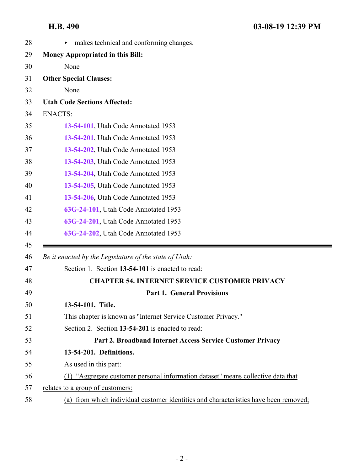<span id="page-1-1"></span><span id="page-1-0"></span>

| 28 | makes technical and conforming changes.<br>▶                                         |
|----|--------------------------------------------------------------------------------------|
| 29 | <b>Money Appropriated in this Bill:</b>                                              |
| 30 | None                                                                                 |
| 31 | <b>Other Special Clauses:</b>                                                        |
| 32 | None                                                                                 |
| 33 | <b>Utah Code Sections Affected:</b>                                                  |
| 34 | <b>ENACTS:</b>                                                                       |
| 35 | 13-54-101, Utah Code Annotated 1953                                                  |
| 36 | 13-54-201, Utah Code Annotated 1953                                                  |
| 37 | 13-54-202, Utah Code Annotated 1953                                                  |
| 38 | 13-54-203, Utah Code Annotated 1953                                                  |
| 39 | 13-54-204, Utah Code Annotated 1953                                                  |
| 40 | 13-54-205, Utah Code Annotated 1953                                                  |
| 41 | 13-54-206, Utah Code Annotated 1953                                                  |
| 42 | 63G-24-101, Utah Code Annotated 1953                                                 |
| 43 | 63G-24-201, Utah Code Annotated 1953                                                 |
| 44 | 63G-24-202, Utah Code Annotated 1953                                                 |
| 45 |                                                                                      |
| 46 | Be it enacted by the Legislature of the state of Utah:                               |
| 47 | Section 1. Section 13-54-101 is enacted to read:                                     |
| 48 | <b>CHAPTER 54. INTERNET SERVICE CUSTOMER PRIVACY</b>                                 |
| 49 | <b>Part 1. General Provisions</b>                                                    |
| 50 | 13-54-101. Title.                                                                    |
| 51 | This chapter is known as "Internet Service Customer Privacy."                        |
| 52 | Section 2. Section 13-54-201 is enacted to read:                                     |
| 53 | Part 2. Broadband Internet Access Service Customer Privacy                           |
| 54 | 13-54-201. Definitions.                                                              |
| 55 | As used in this part:                                                                |
| 56 | (1) "Aggregate customer personal information dataset" means collective data that     |
| 57 | relates to a group of customers:                                                     |
| 58 | (a) from which individual customer identities and characteristics have been removed; |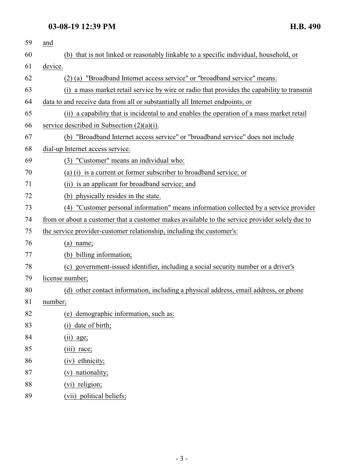| 59 | and                                                                                            |
|----|------------------------------------------------------------------------------------------------|
| 60 | (b) that is not linked or reasonably linkable to a specific individual, household, or          |
| 61 | device.                                                                                        |
| 62 | (2) (a) "Broadband Internet access service" or "broadband service" means:                      |
| 63 | a mass market retail service by wire or radio that provides the capability to transmit<br>(i)  |
| 64 | data to and receive data from all or substantially all Internet endpoints; or                  |
| 65 | (ii) a capability that is incidental to and enables the operation of a mass market retail      |
| 66 | service described in Subsection $(2)(a)(i)$ .                                                  |
| 67 | (b) "Broadband Internet access service" or "broadband service" does not include                |
| 68 | dial-up Internet access service.                                                               |
| 69 | (3) "Customer" means an individual who:                                                        |
| 70 | (a) (i) is a current or former subscriber to broadband service; or                             |
| 71 | (ii) is an applicant for broadband service; and                                                |
| 72 | (b) physically resides in the state.                                                           |
| 73 | (4) "Customer personal information" means information collected by a service provider          |
| 74 | from or about a customer that a customer makes available to the service provider solely due to |
| 75 | the service provider-customer relationship, including the customer's:                          |
| 76 | $(a)$ name;                                                                                    |
| 77 | (b) billing information;                                                                       |
| 78 | (c) government-issued identifier, including a social security number or a driver's             |
| 79 | license number;                                                                                |
| 80 | (d) other contact information, including a physical address, email address, or phone           |
| 81 | number;                                                                                        |
| 82 | (e) demographic information, such as:                                                          |
| 83 | date of birth;<br>(i)                                                                          |
| 84 | $(ii)$ age;                                                                                    |
| 85 | (iii) race;                                                                                    |
| 86 | (iv) ethnicity;                                                                                |
| 87 | (v) nationality;                                                                               |
| 88 | (vi) religion;                                                                                 |
| 89 | (vii) political beliefs;                                                                       |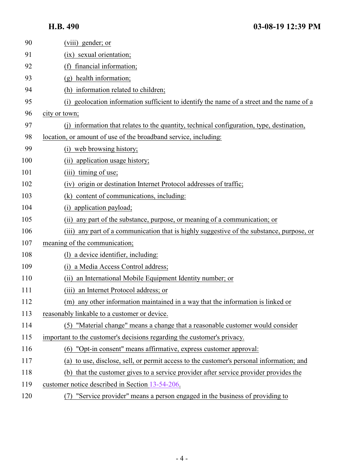| 90  | (viii) gender; or                                                                         |
|-----|-------------------------------------------------------------------------------------------|
| 91  | (ix) sexual orientation;                                                                  |
| 92  | financial information;<br>(f)                                                             |
| 93  | (g) health information;                                                                   |
| 94  | information related to children;                                                          |
| 95  | (i) geolocation information sufficient to identify the name of a street and the name of a |
| 96  | city or town;                                                                             |
| 97  | information that relates to the quantity, technical configuration, type, destination,     |
| 98  | location, or amount of use of the broadband service, including:                           |
| 99  | (i) web browsing history;                                                                 |
| 100 | (ii) application usage history;                                                           |
| 101 | timing of use;<br>(iii)                                                                   |
| 102 | origin or destination Internet Protocol addresses of traffic;<br>(iv)                     |
| 103 | (k) content of communications, including:                                                 |
| 104 | application payload;<br>(i)                                                               |
| 105 | (ii) any part of the substance, purpose, or meaning of a communication; or                |
| 106 | (iii) any part of a communication that is highly suggestive of the substance, purpose, or |
| 107 | meaning of the communication;                                                             |
| 108 | (1) a device identifier, including:                                                       |
| 109 | a Media Access Control address;<br>(1)                                                    |
| 110 | an International Mobile Equipment Identity number; or<br>(ii)                             |
| 111 | an Internet Protocol address; or<br>(iii)                                                 |
| 112 | (m) any other information maintained in a way that the information is linked or           |
| 113 | reasonably linkable to a customer or device.                                              |
| 114 | (5) "Material change" means a change that a reasonable customer would consider            |
| 115 | important to the customer's decisions regarding the customer's privacy.                   |
| 116 | (6) "Opt-in consent" means affirmative, express customer approval:                        |
| 117 | (a) to use, disclose, sell, or permit access to the customer's personal information; and  |
| 118 | (b) that the customer gives to a service provider after service provider provides the     |
| 119 | customer notice described in Section 13-54-206.                                           |
| 120 | "Service provider" means a person engaged in the business of providing to<br>(7)          |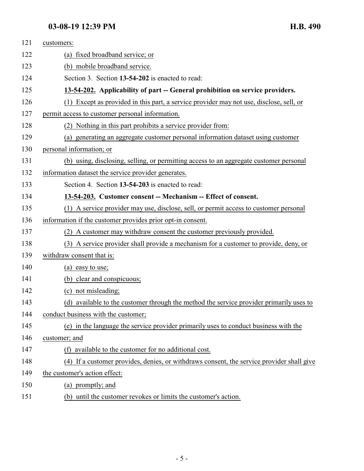<span id="page-4-1"></span><span id="page-4-0"></span>

| 121 | customers:                                                                                |
|-----|-------------------------------------------------------------------------------------------|
| 122 | (a) fixed broadband service; or                                                           |
| 123 | (b) mobile broadband service.                                                             |
| 124 | Section 3. Section 13-54-202 is enacted to read:                                          |
| 125 | 13-54-202. Applicability of part -- General prohibition on service providers.             |
| 126 | (1) Except as provided in this part, a service provider may not use, disclose, sell, or   |
| 127 | permit access to customer personal information.                                           |
| 128 | (2) Nothing in this part prohibits a service provider from:                               |
| 129 | (a) generating an aggregate customer personal information dataset using customer          |
| 130 | personal information; or                                                                  |
| 131 | (b) using, disclosing, selling, or permitting access to an aggregate customer personal    |
| 132 | information dataset the service provider generates.                                       |
| 133 | Section 4. Section 13-54-203 is enacted to read:                                          |
| 134 | 13-54-203. Customer consent -- Mechanism -- Effect of consent.                            |
| 135 | (1) A service provider may use, disclose, sell, or permit access to customer personal     |
| 136 | information if the customer provides prior opt-in consent.                                |
| 137 | (2) A customer may withdraw consent the customer previously provided.                     |
| 138 | (3) A service provider shall provide a mechanism for a customer to provide, deny, or      |
| 139 | withdraw consent that is:                                                                 |
| 140 | (a) easy to use;                                                                          |
| 141 | (b) clear and conspicuous;                                                                |
| 142 | (c) not misleading;                                                                       |
| 143 | (d) available to the customer through the method the service provider primarily uses to   |
| 144 | conduct business with the customer;                                                       |
| 145 | (e) in the language the service provider primarily uses to conduct business with the      |
| 146 | customer; and                                                                             |
| 147 | (f) available to the customer for no additional cost.                                     |
| 148 | (4) If a customer provides, denies, or withdraws consent, the service provider shall give |
| 149 | the customer's action effect:                                                             |
| 150 | (a) promptly; and                                                                         |
| 151 | (b) until the customer revokes or limits the customer's action.                           |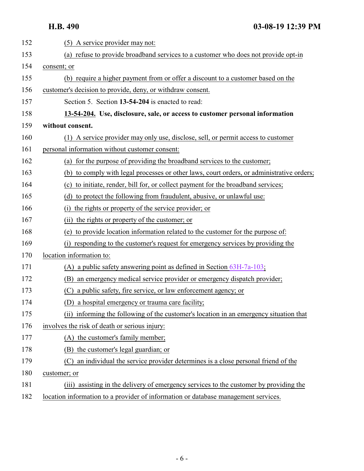<span id="page-5-0"></span>

| 152 | (5) A service provider may not:                                                           |
|-----|-------------------------------------------------------------------------------------------|
| 153 | (a) refuse to provide broadband services to a customer who does not provide opt-in        |
| 154 | consent; or                                                                               |
| 155 | (b) require a higher payment from or offer a discount to a customer based on the          |
| 156 | customer's decision to provide, deny, or withdraw consent.                                |
| 157 | Section 5. Section 13-54-204 is enacted to read:                                          |
| 158 | 13-54-204. Use, disclosure, sale, or access to customer personal information              |
| 159 | without consent.                                                                          |
| 160 | (1) A service provider may only use, disclose, sell, or permit access to customer         |
| 161 | personal information without customer consent:                                            |
| 162 | (a) for the purpose of providing the broadband services to the customer;                  |
| 163 | (b) to comply with legal processes or other laws, court orders, or administrative orders; |
| 164 | (c) to initiate, render, bill for, or collect payment for the broadband services;         |
| 165 | (d) to protect the following from fraudulent, abusive, or unlawful use:                   |
| 166 | the rights or property of the service provider; or<br>(i)                                 |
| 167 | (ii) the rights or property of the customer; or                                           |
| 168 | (e) to provide location information related to the customer for the purpose of:           |
| 169 | responding to the customer's request for emergency services by providing the<br>(i)       |
| 170 | location information to:                                                                  |
| 171 | (A) a public safety answering point as defined in Section $63H-7a-103$ ;                  |
| 172 | (B) an emergency medical service provider or emergency dispatch provider;                 |
| 173 | (C) a public safety, fire service, or law enforcement agency; or                          |
| 174 | (D) a hospital emergency or trauma care facility;                                         |
| 175 | (ii) informing the following of the customer's location in an emergency situation that    |
| 176 | involves the risk of death or serious injury:                                             |
| 177 | (A) the customer's family member;                                                         |
| 178 | the customer's legal guardian; or<br>(B)                                                  |
| 179 | an individual the service provider determines is a close personal friend of the<br>(C)    |
| 180 | customer; or                                                                              |
| 181 | (iii) assisting in the delivery of emergency services to the customer by providing the    |
| 182 | location information to a provider of information or database management services.        |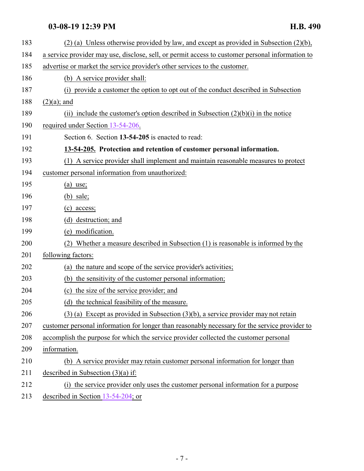<span id="page-6-0"></span>

| 183 | $(2)$ (a) Unless otherwise provided by law, and except as provided in Subsection $(2)(b)$ ,      |
|-----|--------------------------------------------------------------------------------------------------|
| 184 | a service provider may use, disclose, sell, or permit access to customer personal information to |
| 185 | advertise or market the service provider's other services to the customer.                       |
| 186 | (b) A service provider shall:                                                                    |
| 187 | (i) provide a customer the option to opt out of the conduct described in Subsection              |
| 188 | $(2)(a)$ ; and                                                                                   |
| 189 | (ii) include the customer's option described in Subsection $(2)(b)(i)$ in the notice             |
| 190 | required under Section 13-54-206.                                                                |
| 191 | Section 6. Section 13-54-205 is enacted to read:                                                 |
| 192 | 13-54-205. Protection and retention of customer personal information.                            |
| 193 | (1) A service provider shall implement and maintain reasonable measures to protect               |
| 194 | customer personal information from unauthorized:                                                 |
| 195 | $(a)$ use;                                                                                       |
| 196 | $(b)$ sale;                                                                                      |
| 197 | $(c)$ access;                                                                                    |
| 198 | (d) destruction; and                                                                             |
| 199 | (e) modification.                                                                                |
| 200 | Whether a measure described in Subsection (1) is reasonable is informed by the<br>(2)            |
| 201 | following factors:                                                                               |
| 202 | the nature and scope of the service provider's activities;<br>(a)                                |
| 203 | (b) the sensitivity of the customer personal information;                                        |
| 204 | (c) the size of the service provider; and                                                        |
| 205 | (d) the technical feasibility of the measure.                                                    |
| 206 | $(3)$ (a) Except as provided in Subsection $(3)(b)$ , a service provider may not retain          |
| 207 | customer personal information for longer than reasonably necessary for the service provider to   |
| 208 | accomplish the purpose for which the service provider collected the customer personal            |
| 209 | information.                                                                                     |
| 210 | (b) A service provider may retain customer personal information for longer than                  |
| 211 | described in Subsection $(3)(a)$ if:                                                             |
| 212 | (i) the service provider only uses the customer personal information for a purpose               |
| 213 | described in Section $13-54-204$ ; or                                                            |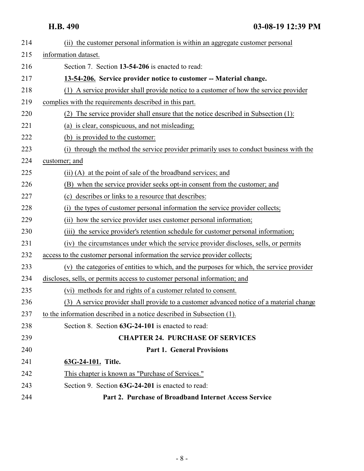# <span id="page-7-0"></span>**H.B. 490 03-08-19 12:39 PM**

<span id="page-7-2"></span><span id="page-7-1"></span>

| 214 | (ii) the customer personal information is within an aggregate customer personal           |
|-----|-------------------------------------------------------------------------------------------|
| 215 | information dataset.                                                                      |
| 216 | Section 7. Section 13-54-206 is enacted to read:                                          |
| 217 | 13-54-206. Service provider notice to customer -- Material change.                        |
| 218 | (1) A service provider shall provide notice to a customer of how the service provider     |
| 219 | complies with the requirements described in this part.                                    |
| 220 | (2) The service provider shall ensure that the notice described in Subsection (1):        |
| 221 | (a) is clear, conspicuous, and not misleading;                                            |
| 222 | (b) is provided to the customer:                                                          |
| 223 | (i) through the method the service provider primarily uses to conduct business with the   |
| 224 | customer; and                                                                             |
| 225 | (ii) (A) at the point of sale of the broadband services; and                              |
| 226 | (B) when the service provider seeks opt-in consent from the customer; and                 |
| 227 | (c) describes or links to a resource that describes:                                      |
| 228 | the types of customer personal information the service provider collects;<br>(i)          |
| 229 | (ii) how the service provider uses customer personal information;                         |
| 230 | the service provider's retention schedule for customer personal information;<br>(iii)     |
| 231 | the circumstances under which the service provider discloses, sells, or permits<br>(iv)   |
| 232 | access to the customer personal information the service provider collects;                |
| 233 | (v) the categories of entities to which, and the purposes for which, the service provider |
| 234 | discloses, sells, or permits access to customer personal information; and                 |
| 235 | (vi) methods for and rights of a customer related to consent.                             |
| 236 | (3) A service provider shall provide to a customer advanced notice of a material change   |
| 237 | to the information described in a notice described in Subsection (1).                     |
| 238 | Section 8. Section 63G-24-101 is enacted to read:                                         |
| 239 | <b>CHAPTER 24. PURCHASE OF SERVICES</b>                                                   |
| 240 | <b>Part 1. General Provisions</b>                                                         |
| 241 | 63G-24-101. Title.                                                                        |
| 242 | This chapter is known as "Purchase of Services."                                          |
| 243 | Section 9. Section 63G-24-201 is enacted to read:                                         |
| 244 | Part 2. Purchase of Broadband Internet Access Service                                     |
|     |                                                                                           |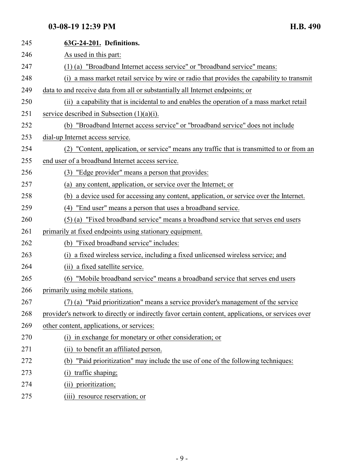| 245 | 63G-24-201. Definitions.                                                                           |
|-----|----------------------------------------------------------------------------------------------------|
| 246 | As used in this part:                                                                              |
| 247 | (1) (a) "Broadband Internet access service" or "broadband service" means:                          |
| 248 | a mass market retail service by wire or radio that provides the capability to transmit             |
| 249 | data to and receive data from all or substantially all Internet endpoints; or                      |
| 250 | (ii) a capability that is incidental to and enables the operation of a mass market retail          |
| 251 | service described in Subsection $(1)(a)(i)$ .                                                      |
| 252 | (b) "Broadband Internet access service" or "broadband service" does not include                    |
| 253 | dial-up Internet access service.                                                                   |
| 254 | (2) "Content, application, or service" means any traffic that is transmitted to or from an         |
| 255 | end user of a broadband Internet access service.                                                   |
| 256 | (3) "Edge provider" means a person that provides:                                                  |
| 257 | any content, application, or service over the Internet; or<br>(a)                                  |
| 258 | (b) a device used for accessing any content, application, or service over the Internet.            |
| 259 | "End user" means a person that uses a broadband service.<br>(4)                                    |
| 260 | (5) (a) "Fixed broadband service" means a broadband service that serves end users                  |
| 261 | primarily at fixed endpoints using stationary equipment.                                           |
| 262 | (b) "Fixed broadband service" includes:                                                            |
| 263 | a fixed wireless service, including a fixed unlicensed wireless service; and<br>(i)                |
| 264 | (ii) a fixed satellite service.                                                                    |
| 265 | "Mobile broadband service" means a broadband service that serves end users<br>(6)                  |
| 266 | primarily using mobile stations.                                                                   |
| 267 | (7) (a) "Paid prioritization" means a service provider's management of the service                 |
| 268 | provider's network to directly or indirectly favor certain content, applications, or services over |
| 269 | other content, applications, or services:                                                          |
| 270 | (i) in exchange for monetary or other consideration; or                                            |
| 271 | (ii) to benefit an affiliated person.                                                              |
| 272 | "Paid prioritization" may include the use of one of the following techniques:<br>(b)               |
| 273 | traffic shaping;                                                                                   |
| 274 | prioritization;<br>(ii)                                                                            |
| 275 | resource reservation; or<br>(iii)                                                                  |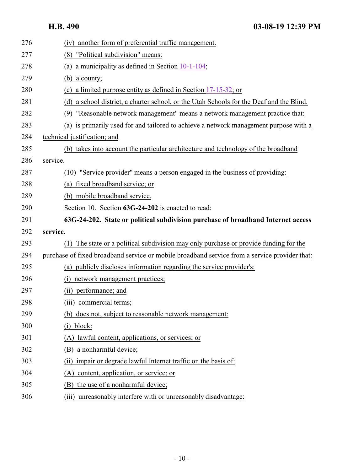<span id="page-9-0"></span>

| 276 | another form of preferential traffic management.<br>(iv)                                      |
|-----|-----------------------------------------------------------------------------------------------|
| 277 | "Political subdivision" means:<br>(8)                                                         |
| 278 | a municipality as defined in Section $10-1-104$ ;<br>(a)                                      |
| 279 | (b) a county;                                                                                 |
| 280 | (c) a limited purpose entity as defined in Section $17-15-32$ ; or                            |
| 281 | (d) a school district, a charter school, or the Utah Schools for the Deaf and the Blind.      |
| 282 | "Reasonable network management" means a network management practice that:<br>(9)              |
| 283 | (a) is primarily used for and tailored to achieve a network management purpose with a         |
| 284 | technical justification; and                                                                  |
| 285 | (b) takes into account the particular architecture and technology of the broadband            |
| 286 | service.                                                                                      |
| 287 | "Service provider" means a person engaged in the business of providing:<br>(10)               |
| 288 | fixed broadband service; or<br>(a)                                                            |
| 289 | (b) mobile broadband service.                                                                 |
| 290 | Section 10. Section 63G-24-202 is enacted to read:                                            |
|     |                                                                                               |
| 291 | 63G-24-202. State or political subdivision purchase of broadband Internet access              |
| 292 | service.                                                                                      |
| 293 | The state or a political subdivision may only purchase or provide funding for the<br>(1)      |
| 294 | purchase of fixed broadband service or mobile broadband service from a service provider that: |
| 295 | (a) publicly discloses information regarding the service provider's:                          |
| 296 | network management practices;<br>(i)                                                          |
| 297 | (ii) performance; and                                                                         |
| 298 | (iii) commercial terms;                                                                       |
| 299 | (b) does not, subject to reasonable network management:                                       |
| 300 | block:<br>(1)                                                                                 |
| 301 | lawful content, applications, or services; or                                                 |
| 302 | a nonharmful device;<br>(B)                                                                   |
| 303 | impair or degrade lawful Internet traffic on the basis of:<br>(i)                             |
| 304 | content, application, or service; or<br>(A)                                                   |
| 305 | the use of a nonharmful device;<br>(B)                                                        |